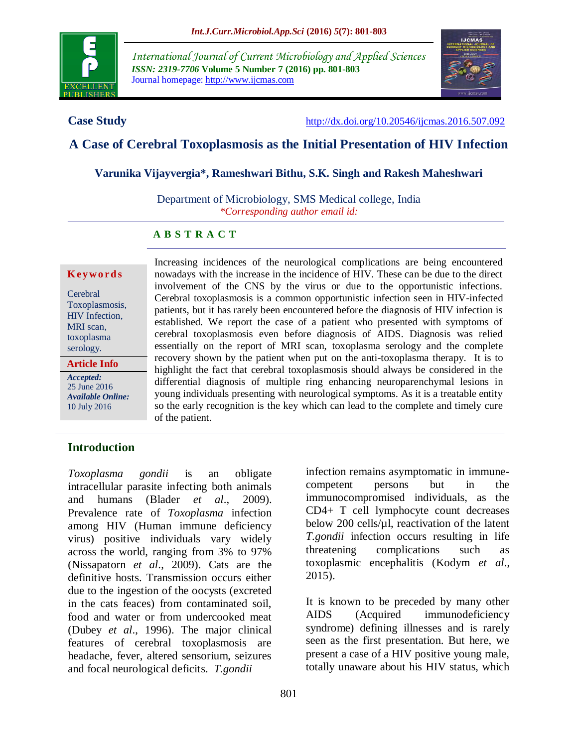

*International Journal of Current Microbiology and Applied Sciences ISSN: 2319-7706* **Volume 5 Number 7 (2016) pp. 801-803** Journal homepage: http://www.ijcmas.com



**Case Study** <http://dx.doi.org/10.20546/ijcmas.2016.507.092>

# **A Case of Cerebral Toxoplasmosis as the Initial Presentation of HIV Infection**

#### **Varunika Vijayvergia\*, Rameshwari Bithu, S.K. Singh and Rakesh Maheshwari**

Department of Microbiology, SMS Medical college, India *\*Corresponding author email id:* 

### **A B S T R A C T**

#### **K ey w o rd s**

Cerebral Toxoplasmosis, HIV Infection, MRI scan, toxoplasma serology.

**Article Info**

*Accepted:*  25 June 2016 *Available Online:* 10 July 2016

Increasing incidences of the neurological complications are being encountered nowadays with the increase in the incidence of HIV. These can be due to the direct involvement of the CNS by the virus or due to the opportunistic infections. Cerebral toxoplasmosis is a common opportunistic infection seen in HIV-infected patients, but it has rarely been encountered before the diagnosis of HIV infection is established. We report the case of a patient who presented with symptoms of cerebral toxoplasmosis even before diagnosis of AIDS. Diagnosis was relied essentially on the report of MRI scan, toxoplasma serology and the complete recovery shown by the patient when put on the anti-toxoplasma therapy. It is to highlight the fact that cerebral toxoplasmosis should always be considered in the differential diagnosis of multiple ring enhancing neuroparenchymal lesions in young individuals presenting with neurological symptoms. As it is a treatable entity so the early recognition is the key which can lead to the complete and timely cure of the patient.

### **Introduction**

*Toxoplasma gondii* is an obligate intracellular parasite infecting both animals and humans (Blader *et al*., 2009). Prevalence rate of *Toxoplasma* infection among HIV (Human immune deficiency virus) positive individuals vary widely across the world, ranging from 3% to 97% (Nissapatorn *et al*., 2009). Cats are the definitive hosts. Transmission occurs either due to the ingestion of the oocysts (excreted in the cats feaces) from contaminated soil, food and water or from undercooked meat (Dubey *et al*., 1996). The major clinical features of cerebral toxoplasmosis are headache, fever, altered sensorium, seizures and focal neurological deficits. *T.gondii*

infection remains asymptomatic in immunecompetent persons but in the immunocompromised individuals, as the CD4+ T cell lymphocyte count decreases below 200 cells/ $\mu$ l, reactivation of the latent *T.gondii* infection occurs resulting in life threatening complications such as toxoplasmic encephalitis (Kodym *et al*., 2015).

It is known to be preceded by many other AIDS (Acquired immunodeficiency syndrome) defining illnesses and is rarely seen as the first presentation. But here, we present a case of a HIV positive young male, totally unaware about his HIV status, which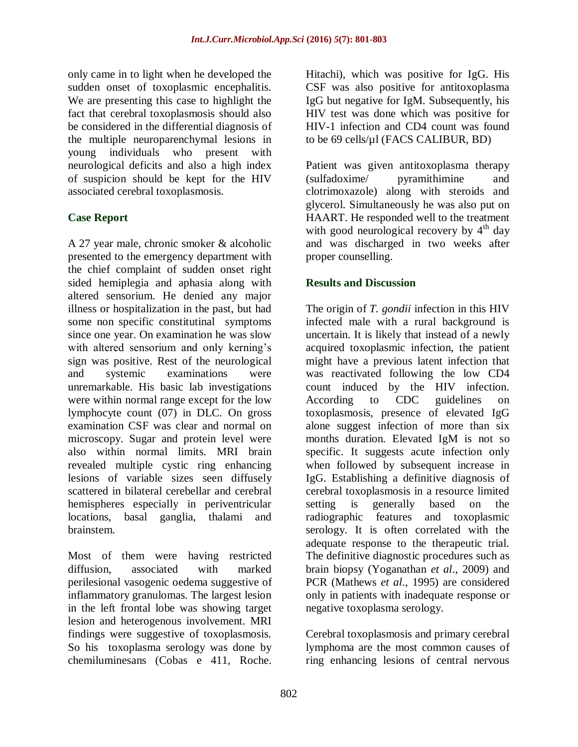only came in to light when he developed the sudden onset of toxoplasmic encephalitis. We are presenting this case to highlight the fact that cerebral toxoplasmosis should also be considered in the differential diagnosis of the multiple neuroparenchymal lesions in young individuals who present with neurological deficits and also a high index of suspicion should be kept for the HIV associated cerebral toxoplasmosis.

# **Case Report**

A 27 year male, chronic smoker & alcoholic presented to the emergency department with the chief complaint of sudden onset right sided hemiplegia and aphasia along with altered sensorium. He denied any major illness or hospitalization in the past, but had some non specific constitutinal symptoms since one year. On examination he was slow with altered sensorium and only kerning's sign was positive. Rest of the neurological and systemic examinations were unremarkable. His basic lab investigations were within normal range except for the low lymphocyte count (07) in DLC. On gross examination CSF was clear and normal on microscopy. Sugar and protein level were also within normal limits. MRI brain revealed multiple cystic ring enhancing lesions of variable sizes seen diffusely scattered in bilateral cerebellar and cerebral hemispheres especially in periventricular locations, basal ganglia, thalami and brainstem.

Most of them were having restricted diffusion, associated with marked perilesional vasogenic oedema suggestive of inflammatory granulomas. The largest lesion in the left frontal lobe was showing target lesion and heterogenous involvement. MRI findings were suggestive of toxoplasmosis. So his toxoplasma serology was done by chemiluminesans (Cobas e 411, Roche.

Hitachi), which was positive for IgG. His CSF was also positive for antitoxoplasma IgG but negative for IgM. Subsequently, his HIV test was done which was positive for HIV-1 infection and CD4 count was found to be 69 cells/µl (FACS CALIBUR, BD)

Patient was given antitoxoplasma therapy (sulfadoxime/ pyramithimine and clotrimoxazole) along with steroids and glycerol. Simultaneously he was also put on HAART. He responded well to the treatment with good neurological recovery by  $4<sup>th</sup>$  day and was discharged in two weeks after proper counselling.

# **Results and Discussion**

The origin of *T. gondii* infection in this HIV infected male with a rural background is uncertain. It is likely that instead of a newly acquired toxoplasmic infection, the patient might have a previous latent infection that was reactivated following the low CD4 count induced by the HIV infection. According to CDC guidelines on toxoplasmosis, presence of elevated IgG alone suggest infection of more than six months duration. Elevated IgM is not so specific. It suggests acute infection only when followed by subsequent increase in IgG. Establishing a definitive diagnosis of cerebral toxoplasmosis in a resource limited setting is generally based on the radiographic features and toxoplasmic serology. It is often correlated with the adequate response to the therapeutic trial. The definitive diagnostic procedures such as brain biopsy (Yoganathan *et al*., 2009) and PCR (Mathews *et al*., 1995) are considered only in patients with inadequate response or negative toxoplasma serology.

Cerebral toxoplasmosis and primary cerebral lymphoma are the most common causes of ring enhancing lesions of central nervous